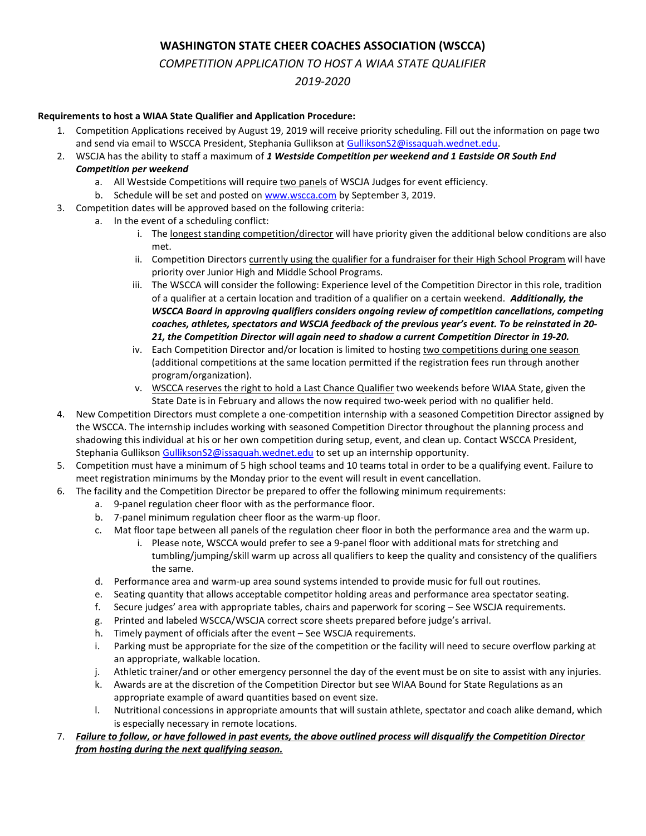## WASHINGTON STATE CHEER COACHES ASSOCIATION (WSCCA)

COMPETITION APPLICATION TO HOST A WIAA STATE QUALIFIER

2019-2020

## Requirements to host a WIAA State Qualifier and Application Procedure:

- 1. Competition Applications received by August 19, 2019 will receive priority scheduling. Fill out the information on page two and send via email to WSCCA President, Stephania Gullikson at GulliksonS2@issaquah.wednet.edu.
- 2. WSCJA has the ability to staff a maximum of 1 Westside Competition per weekend and 1 Eastside OR South End Competition per weekend
	- a. All Westside Competitions will require two panels of WSCJA Judges for event efficiency.
	- b. Schedule will be set and posted on www.wscca.com by September 3, 2019.
- 3. Competition dates will be approved based on the following criteria:
- a. In the event of a scheduling conflict:
	- i. The longest standing competition/director will have priority given the additional below conditions are also met.
	- ii. Competition Directors currently using the qualifier for a fundraiser for their High School Program will have priority over Junior High and Middle School Programs.
	- iii. The WSCCA will consider the following: Experience level of the Competition Director in this role, tradition of a qualifier at a certain location and tradition of a qualifier on a certain weekend. Additionally, the WSCCA Board in approving qualifiers considers ongoing review of competition cancellations, competing coaches, athletes, spectators and WSCJA feedback of the previous year's event. To be reinstated in 20- 21, the Competition Director will again need to shadow a current Competition Director in 19-20.
	- iv. Each Competition Director and/or location is limited to hosting two competitions during one season (additional competitions at the same location permitted if the registration fees run through another program/organization).
	- v. WSCCA reserves the right to hold a Last Chance Qualifier two weekends before WIAA State, given the State Date is in February and allows the now required two-week period with no qualifier held.
- 4. New Competition Directors must complete a one-competition internship with a seasoned Competition Director assigned by the WSCCA. The internship includes working with seasoned Competition Director throughout the planning process and shadowing this individual at his or her own competition during setup, event, and clean up. Contact WSCCA President, Stephania Gullikson GulliksonS2@issaquah.wednet.edu to set up an internship opportunity.
- 5. Competition must have a minimum of 5 high school teams and 10 teams total in order to be a qualifying event. Failure to meet registration minimums by the Monday prior to the event will result in event cancellation.
- 6. The facility and the Competition Director be prepared to offer the following minimum requirements:
	- a. 9-panel regulation cheer floor with as the performance floor.
	- b. 7-panel minimum regulation cheer floor as the warm-up floor.
	- c. Mat floor tape between all panels of the regulation cheer floor in both the performance area and the warm up.
		- i. Please note, WSCCA would prefer to see a 9-panel floor with additional mats for stretching and tumbling/jumping/skill warm up across all qualifiers to keep the quality and consistency of the qualifiers the same.
	- d. Performance area and warm-up area sound systems intended to provide music for full out routines.
	- e. Seating quantity that allows acceptable competitor holding areas and performance area spectator seating.
	- f. Secure judges' area with appropriate tables, chairs and paperwork for scoring See WSCJA requirements.
	- g. Printed and labeled WSCCA/WSCJA correct score sheets prepared before judge's arrival.
	- h. Timely payment of officials after the event See WSCJA requirements.
	- i. Parking must be appropriate for the size of the competition or the facility will need to secure overflow parking at an appropriate, walkable location.
	- j. Athletic trainer/and or other emergency personnel the day of the event must be on site to assist with any injuries.
	- k. Awards are at the discretion of the Competition Director but see WIAA Bound for State Regulations as an appropriate example of award quantities based on event size.
	- l. Nutritional concessions in appropriate amounts that will sustain athlete, spectator and coach alike demand, which is especially necessary in remote locations.
- 7. Failure to follow, or have followed in past events, the above outlined process will disqualify the Competition Director from hosting during the next qualifying season.